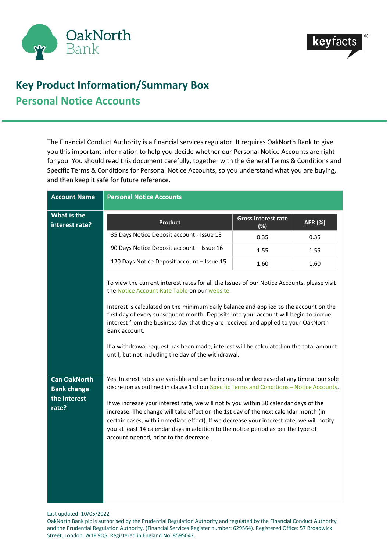



## **Key Product Information/Summary Box Personal Notice Accounts**

The Financial Conduct Authority is a financial services regulator. It requires OakNorth Bank to give you this important information to help you decide whether our Personal Notice Accounts are right for you. You should read this document carefully, together with the General Terms & Conditions and Specific Terms & Conditions for Personal Notice Accounts, so you understand what you are buying, and then keep it safe for future reference.

| <b>Account Name</b>                                                | <b>Personal Notice Accounts</b>                                                                                                                                                                                                                                                                                                                                                                                                                                                                                                                                                                    |                                      |                |
|--------------------------------------------------------------------|----------------------------------------------------------------------------------------------------------------------------------------------------------------------------------------------------------------------------------------------------------------------------------------------------------------------------------------------------------------------------------------------------------------------------------------------------------------------------------------------------------------------------------------------------------------------------------------------------|--------------------------------------|----------------|
| What is the<br>interest rate?                                      | <b>Product</b>                                                                                                                                                                                                                                                                                                                                                                                                                                                                                                                                                                                     | <b>Gross interest rate</b><br>$(\%)$ | <b>AER (%)</b> |
|                                                                    | 35 Days Notice Deposit account - Issue 13                                                                                                                                                                                                                                                                                                                                                                                                                                                                                                                                                          | 0.35                                 | 0.35           |
|                                                                    | 90 Days Notice Deposit account - Issue 16                                                                                                                                                                                                                                                                                                                                                                                                                                                                                                                                                          | 1.55                                 | 1.55           |
|                                                                    | 120 Days Notice Deposit account - Issue 15                                                                                                                                                                                                                                                                                                                                                                                                                                                                                                                                                         | 1.60                                 | 1.60           |
|                                                                    | To view the current interest rates for all the Issues of our Notice Accounts, please visit<br>the Notice Account Rate Table on our website.<br>Interest is calculated on the minimum daily balance and applied to the account on the<br>first day of every subsequent month. Deposits into your account will begin to accrue<br>interest from the business day that they are received and applied to your OakNorth<br>Bank account.<br>If a withdrawal request has been made, interest will be calculated on the total amount<br>until, but not including the day of the withdrawal.               |                                      |                |
| <b>Can OakNorth</b><br><b>Bank change</b><br>the interest<br>rate? | Yes. Interest rates are variable and can be increased or decreased at any time at our sole<br>discretion as outlined in clause 1 of our Specific Terms and Conditions - Notice Accounts.<br>If we increase your interest rate, we will notify you within 30 calendar days of the<br>increase. The change will take effect on the 1st day of the next calendar month (in<br>certain cases, with immediate effect). If we decrease your interest rate, we will notify<br>you at least 14 calendar days in addition to the notice period as per the type of<br>account opened, prior to the decrease. |                                      |                |

Last updated: 10/05/2022

OakNorth Bank plc is authorised by the Prudential Regulation Authority and regulated by the Financial Conduct Authority and the Prudential Regulation Authority. (Financial Services Register number: 629564). Registered Office: 57 Broadwick Street, London, W1F 9QS. Registered in England No. 8595042.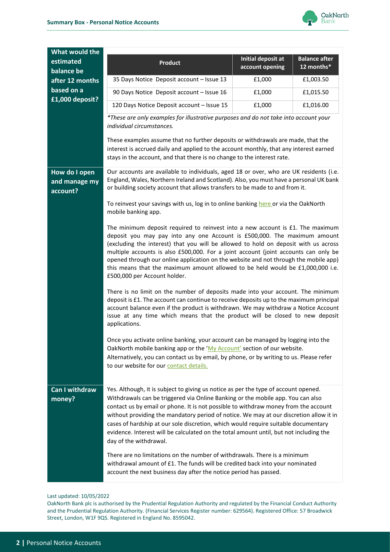

| Product                                                                                                                                                                                                                                                                                                                                                                                                                                                                                                                                                                                                                                                                                                                                                                                                                                                                                                                    | account opening | <b>Balance after</b><br>12 months*                                                                                                                                                                                                                                                                                                                                                                                                                                                                                                                                                                                                                                                                                                                                                                                                                                                                                                                                                                                                                         |                                         |
|----------------------------------------------------------------------------------------------------------------------------------------------------------------------------------------------------------------------------------------------------------------------------------------------------------------------------------------------------------------------------------------------------------------------------------------------------------------------------------------------------------------------------------------------------------------------------------------------------------------------------------------------------------------------------------------------------------------------------------------------------------------------------------------------------------------------------------------------------------------------------------------------------------------------------|-----------------|------------------------------------------------------------------------------------------------------------------------------------------------------------------------------------------------------------------------------------------------------------------------------------------------------------------------------------------------------------------------------------------------------------------------------------------------------------------------------------------------------------------------------------------------------------------------------------------------------------------------------------------------------------------------------------------------------------------------------------------------------------------------------------------------------------------------------------------------------------------------------------------------------------------------------------------------------------------------------------------------------------------------------------------------------------|-----------------------------------------|
| 35 Days Notice Deposit account - Issue 13                                                                                                                                                                                                                                                                                                                                                                                                                                                                                                                                                                                                                                                                                                                                                                                                                                                                                  | £1,000          | £1,003.50                                                                                                                                                                                                                                                                                                                                                                                                                                                                                                                                                                                                                                                                                                                                                                                                                                                                                                                                                                                                                                                  |                                         |
| 90 Days Notice Deposit account - Issue 16                                                                                                                                                                                                                                                                                                                                                                                                                                                                                                                                                                                                                                                                                                                                                                                                                                                                                  | £1,000          | £1,015.50                                                                                                                                                                                                                                                                                                                                                                                                                                                                                                                                                                                                                                                                                                                                                                                                                                                                                                                                                                                                                                                  |                                         |
| 120 Days Notice Deposit account - Issue 15                                                                                                                                                                                                                                                                                                                                                                                                                                                                                                                                                                                                                                                                                                                                                                                                                                                                                 | £1,000          | £1,016.00                                                                                                                                                                                                                                                                                                                                                                                                                                                                                                                                                                                                                                                                                                                                                                                                                                                                                                                                                                                                                                                  |                                         |
| *These are only examples for illustrative purposes and do not take into account your<br>individual circumstances.                                                                                                                                                                                                                                                                                                                                                                                                                                                                                                                                                                                                                                                                                                                                                                                                          |                 |                                                                                                                                                                                                                                                                                                                                                                                                                                                                                                                                                                                                                                                                                                                                                                                                                                                                                                                                                                                                                                                            |                                         |
| These examples assume that no further deposits or withdrawals are made, that the<br>interest is accrued daily and applied to the account monthly, that any interest earned<br>stays in the account, and that there is no change to the interest rate.                                                                                                                                                                                                                                                                                                                                                                                                                                                                                                                                                                                                                                                                      |                 |                                                                                                                                                                                                                                                                                                                                                                                                                                                                                                                                                                                                                                                                                                                                                                                                                                                                                                                                                                                                                                                            |                                         |
| Our accounts are available to individuals, aged 18 or over, who are UK residents (i.e.<br>England, Wales, Northern Ireland and Scotland). Also, you must have a personal UK bank<br>or building society account that allows transfers to be made to and from it.                                                                                                                                                                                                                                                                                                                                                                                                                                                                                                                                                                                                                                                           |                 |                                                                                                                                                                                                                                                                                                                                                                                                                                                                                                                                                                                                                                                                                                                                                                                                                                                                                                                                                                                                                                                            |                                         |
| To reinvest your savings with us, log in to online banking here or via the OakNorth<br>mobile banking app.                                                                                                                                                                                                                                                                                                                                                                                                                                                                                                                                                                                                                                                                                                                                                                                                                 |                 |                                                                                                                                                                                                                                                                                                                                                                                                                                                                                                                                                                                                                                                                                                                                                                                                                                                                                                                                                                                                                                                            |                                         |
| The minimum deposit required to reinvest into a new account is $£1$ . The maximum<br>deposit you may pay into any one Account is £500,000. The maximum amount<br>(excluding the interest) that you will be allowed to hold on deposit with us across<br>multiple accounts is also £500,000. For a joint account (joint accounts can only be<br>opened through our online application on the website and not through the mobile app)<br>this means that the maximum amount allowed to be held would be £1,000,000 i.e.<br>£500,000 per Account holder.<br>There is no limit on the number of deposits made into your account. The minimum<br>deposit is £1. The account can continue to receive deposits up to the maximum principal<br>account balance even if the product is withdrawn. We may withdraw a Notice Account<br>issue at any time which means that the product will be closed to new deposit<br>applications. |                 |                                                                                                                                                                                                                                                                                                                                                                                                                                                                                                                                                                                                                                                                                                                                                                                                                                                                                                                                                                                                                                                            |                                         |
|                                                                                                                                                                                                                                                                                                                                                                                                                                                                                                                                                                                                                                                                                                                                                                                                                                                                                                                            |                 |                                                                                                                                                                                                                                                                                                                                                                                                                                                                                                                                                                                                                                                                                                                                                                                                                                                                                                                                                                                                                                                            | to our website for our contact details. |
| day of the withdrawal.                                                                                                                                                                                                                                                                                                                                                                                                                                                                                                                                                                                                                                                                                                                                                                                                                                                                                                     |                 |                                                                                                                                                                                                                                                                                                                                                                                                                                                                                                                                                                                                                                                                                                                                                                                                                                                                                                                                                                                                                                                            |                                         |
|                                                                                                                                                                                                                                                                                                                                                                                                                                                                                                                                                                                                                                                                                                                                                                                                                                                                                                                            |                 | Initial deposit at<br>Once you activate online banking, your account can be managed by logging into the<br>OakNorth mobile banking app or the 'My Account' section of our website.<br>Alternatively, you can contact us by email, by phone, or by writing to us. Please refer<br>Yes. Although, it is subject to giving us notice as per the type of account opened.<br>Withdrawals can be triggered via Online Banking or the mobile app. You can also<br>contact us by email or phone. It is not possible to withdraw money from the account<br>without providing the mandatory period of notice. We may at our discretion allow it in<br>cases of hardship at our sole discretion, which would require suitable documentary<br>evidence. Interest will be calculated on the total amount until, but not including the<br>There are no limitations on the number of withdrawals. There is a minimum<br>withdrawal amount of £1. The funds will be credited back into your nominated<br>account the next business day after the notice period has passed. |                                         |

Last updated: 10/05/2022

OakNorth Bank plc is authorised by the Prudential Regulation Authority and regulated by the Financial Conduct Authority and the Prudential Regulation Authority. (Financial Services Register number: 629564). Registered Office: 57 Broadwick Street, London, W1F 9QS. Registered in England No. 8595042.